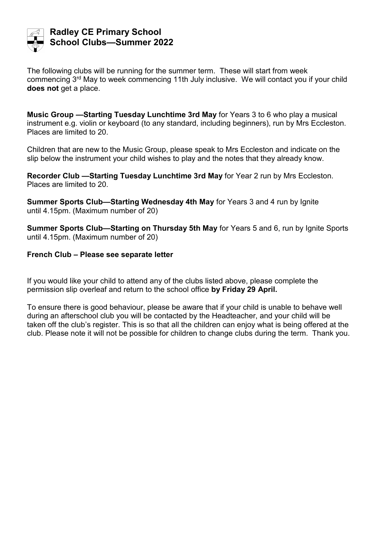

## **Radley CE Primary School School Clubs—Summer 2022**

The following clubs will be running for the summer term. These will start from week commencing 3<sup>rd</sup> May to week commencing 11th July inclusive. We will contact you if your child does not get a place.

**Music Group —Starting Tuesday Lunchtime 3rd May** for Years 3 to 6 who play a musical instrument e.g. violin or keyboard (to any standard, including beginners), run by Mrs Eccleston. Places are limited to 20.

Children that are new to the Music Group, please speak to Mrs Eccleston and indicate on the slip below the instrument your child wishes to play and the notes that they already know.

**Recorder Club —Starting Tuesday Lunchtime 3rd May** for Year 2 run by Mrs Eccleston. Places are limited to 20.

**Summer Sports Club—Starting Wednesday 4th May** for Years 3 and 4 run by Ignite until 4.15pm. (Maximum number of 20)

**Summer Sports Club—Starting on Thursday 5th May** for Years 5 and 6, run by Ignite Sports until 4.15pm. (Maximum number of 20)

## **French Club – Please see separate letter**

If you would like your child to attend any of the clubs listed above, please complete the permission slip overleaf and return to the school office **by Friday 29 April.**

To ensure there is good behaviour, please be aware that if your child is unable to behave well during an afterschool club you will be contacted by the Headteacher, and your child will be taken off the club's register. This is so that all the children can enjoy what is being offered at the club. Please note it will not be possible for children to change clubs during the term. Thank you.